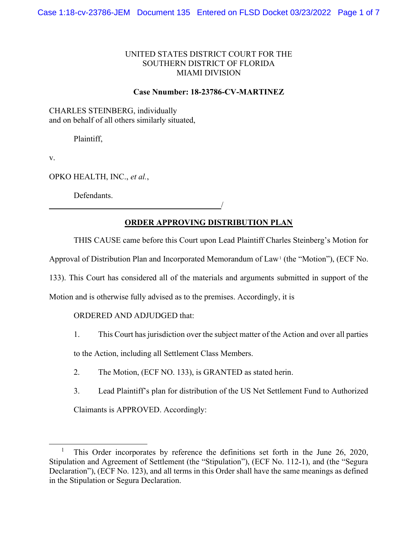### UNITED STATES DISTRICT COURT FOR THE SOUTHERN DISTRICT OF FLORIDA MIAMI DIVISION

#### Case Nnumber: 18-23786-CV-MARTINEZ

CHARLES STEINBERG, individually and on behalf of all others similarly situated,

Plaintiff,

v.

OPKO HEALTH, INC., et al.,

Defendants.

# ORDER APPROVING DISTRIBUTION PLAN

THIS CAUSE came before this Court upon Lead Plaintiff Charles Steinberg's Motion for

Approval of Distribution Plan and Incorporated Memorandum of Law<sup>1</sup> (the "Motion"), (ECF No.

133). This Court has considered all of the materials and arguments submitted in support of the

Motion and is otherwise fully advised as to the premises. Accordingly, it is

# ORDERED AND ADJUDGED that:

<u>/</u>

1. This Court has jurisdiction over the subject matter of the Action and over all parties

to the Action, including all Settlement Class Members.

- 2. The Motion, (ECF NO. 133), is GRANTED as stated herin.
- 3. Lead Plaintiff's plan for distribution of the US Net Settlement Fund to Authorized

Claimants is APPROVED. Accordingly:

<sup>1</sup> This Order incorporates by reference the definitions set forth in the June 26, 2020, Stipulation and Agreement of Settlement (the "Stipulation"), (ECF No. 112-1), and (the "Segura Declaration"), (ECF No. 123), and all terms in this Order shall have the same meanings as defined in the Stipulation or Segura Declaration.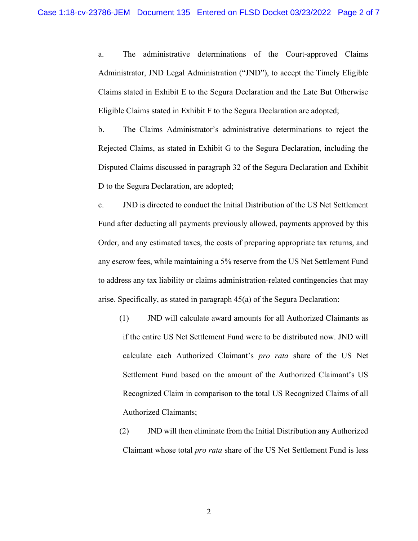a. The administrative determinations of the Court-approved Claims Administrator, JND Legal Administration ("JND"), to accept the Timely Eligible Claims stated in Exhibit E to the Segura Declaration and the Late But Otherwise Eligible Claims stated in Exhibit F to the Segura Declaration are adopted;

b. The Claims Administrator's administrative determinations to reject the Rejected Claims, as stated in Exhibit G to the Segura Declaration, including the Disputed Claims discussed in paragraph 32 of the Segura Declaration and Exhibit D to the Segura Declaration, are adopted;

c. JND is directed to conduct the Initial Distribution of the US Net Settlement Fund after deducting all payments previously allowed, payments approved by this Order, and any estimated taxes, the costs of preparing appropriate tax returns, and any escrow fees, while maintaining a 5% reserve from the US Net Settlement Fund to address any tax liability or claims administration-related contingencies that may arise. Specifically, as stated in paragraph 45(a) of the Segura Declaration:

- (1) JND will calculate award amounts for all Authorized Claimants as if the entire US Net Settlement Fund were to be distributed now. JND will calculate each Authorized Claimant's pro rata share of the US Net Settlement Fund based on the amount of the Authorized Claimant's US Recognized Claim in comparison to the total US Recognized Claims of all Authorized Claimants;
- (2) JND will then eliminate from the Initial Distribution any Authorized Claimant whose total pro rata share of the US Net Settlement Fund is less

2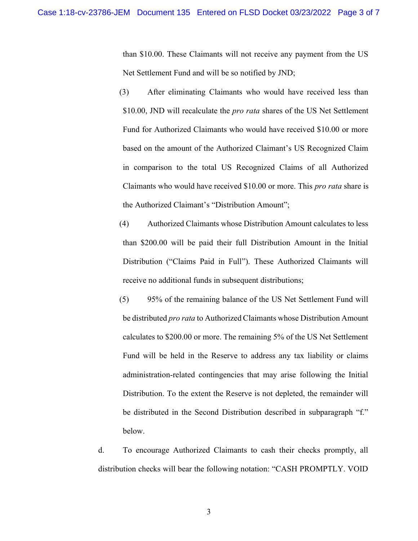than \$10.00. These Claimants will not receive any payment from the US Net Settlement Fund and will be so notified by JND;

- (3) After eliminating Claimants who would have received less than \$10.00, JND will recalculate the *pro rata* shares of the US Net Settlement Fund for Authorized Claimants who would have received \$10.00 or more based on the amount of the Authorized Claimant's US Recognized Claim in comparison to the total US Recognized Claims of all Authorized Claimants who would have received \$10.00 or more. This pro rata share is the Authorized Claimant's "Distribution Amount";
- (4) Authorized Claimants whose Distribution Amount calculates to less than \$200.00 will be paid their full Distribution Amount in the Initial Distribution ("Claims Paid in Full"). These Authorized Claimants will receive no additional funds in subsequent distributions;
- (5) 95% of the remaining balance of the US Net Settlement Fund will be distributed *pro rata* to Authorized Claimants whose Distribution Amount calculates to \$200.00 or more. The remaining 5% of the US Net Settlement Fund will be held in the Reserve to address any tax liability or claims administration-related contingencies that may arise following the Initial Distribution. To the extent the Reserve is not depleted, the remainder will be distributed in the Second Distribution described in subparagraph "f." below.

d. To encourage Authorized Claimants to cash their checks promptly, all distribution checks will bear the following notation: "CASH PROMPTLY. VOID

3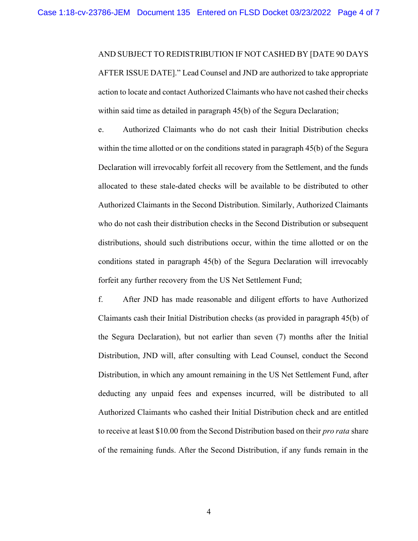#### AND SUBJECT TO REDISTRIBUTION IF NOT CASHED BY [DATE 90 DAYS

AFTER ISSUE DATE]." Lead Counsel and JND are authorized to take appropriate action to locate and contact Authorized Claimants who have not cashed their checks within said time as detailed in paragraph 45(b) of the Segura Declaration;

e. Authorized Claimants who do not cash their Initial Distribution checks within the time allotted or on the conditions stated in paragraph 45(b) of the Segura Declaration will irrevocably forfeit all recovery from the Settlement, and the funds allocated to these stale-dated checks will be available to be distributed to other Authorized Claimants in the Second Distribution. Similarly, Authorized Claimants who do not cash their distribution checks in the Second Distribution or subsequent distributions, should such distributions occur, within the time allotted or on the conditions stated in paragraph 45(b) of the Segura Declaration will irrevocably forfeit any further recovery from the US Net Settlement Fund;

f. After JND has made reasonable and diligent efforts to have Authorized Claimants cash their Initial Distribution checks (as provided in paragraph 45(b) of the Segura Declaration), but not earlier than seven (7) months after the Initial Distribution, JND will, after consulting with Lead Counsel, conduct the Second Distribution, in which any amount remaining in the US Net Settlement Fund, after deducting any unpaid fees and expenses incurred, will be distributed to all Authorized Claimants who cashed their Initial Distribution check and are entitled to receive at least \$10.00 from the Second Distribution based on their *pro rata* share of the remaining funds. After the Second Distribution, if any funds remain in the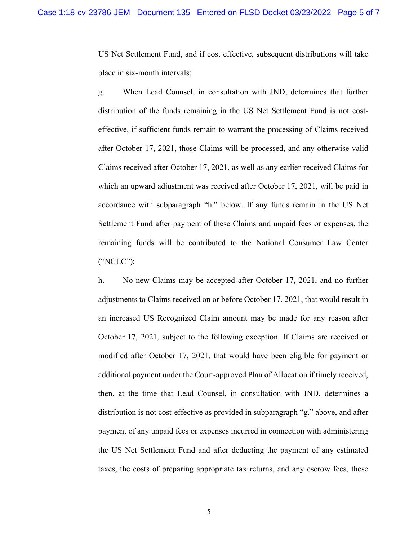US Net Settlement Fund, and if cost effective, subsequent distributions will take place in six-month intervals;

g. When Lead Counsel, in consultation with JND, determines that further distribution of the funds remaining in the US Net Settlement Fund is not costeffective, if sufficient funds remain to warrant the processing of Claims received after October 17, 2021, those Claims will be processed, and any otherwise valid Claims received after October 17, 2021, as well as any earlier-received Claims for which an upward adjustment was received after October 17, 2021, will be paid in accordance with subparagraph "h." below. If any funds remain in the US Net Settlement Fund after payment of these Claims and unpaid fees or expenses, the remaining funds will be contributed to the National Consumer Law Center ("NCLC");

h. No new Claims may be accepted after October 17, 2021, and no further adjustments to Claims received on or before October 17, 2021, that would result in an increased US Recognized Claim amount may be made for any reason after October 17, 2021, subject to the following exception. If Claims are received or modified after October 17, 2021, that would have been eligible for payment or additional payment under the Court-approved Plan of Allocation if timely received, then, at the time that Lead Counsel, in consultation with JND, determines a distribution is not cost-effective as provided in subparagraph "g." above, and after payment of any unpaid fees or expenses incurred in connection with administering the US Net Settlement Fund and after deducting the payment of any estimated taxes, the costs of preparing appropriate tax returns, and any escrow fees, these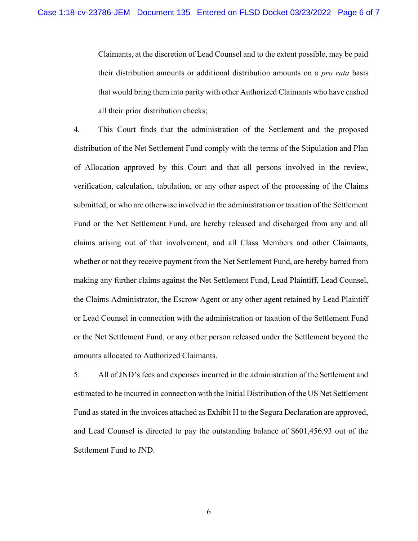Claimants, at the discretion of Lead Counsel and to the extent possible, may be paid their distribution amounts or additional distribution amounts on a *pro rata* basis that would bring them into parity with other Authorized Claimants who have cashed all their prior distribution checks;

4. This Court finds that the administration of the Settlement and the proposed distribution of the Net Settlement Fund comply with the terms of the Stipulation and Plan of Allocation approved by this Court and that all persons involved in the review, verification, calculation, tabulation, or any other aspect of the processing of the Claims submitted, or who are otherwise involved in the administration or taxation of the Settlement Fund or the Net Settlement Fund, are hereby released and discharged from any and all claims arising out of that involvement, and all Class Members and other Claimants, whether or not they receive payment from the Net Settlement Fund, are hereby barred from making any further claims against the Net Settlement Fund, Lead Plaintiff, Lead Counsel, the Claims Administrator, the Escrow Agent or any other agent retained by Lead Plaintiff or Lead Counsel in connection with the administration or taxation of the Settlement Fund or the Net Settlement Fund, or any other person released under the Settlement beyond the amounts allocated to Authorized Claimants.

5. All of JND's fees and expenses incurred in the administration of the Settlement and estimated to be incurred in connection with the Initial Distribution of the US Net Settlement Fund as stated in the invoices attached as Exhibit H to the Segura Declaration are approved, and Lead Counsel is directed to pay the outstanding balance of \$601,456.93 out of the Settlement Fund to JND.